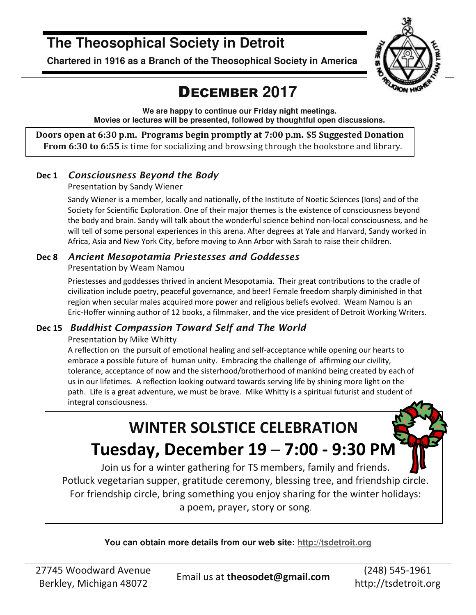## **The Theosophical Society in Detroit**

**Chartered in 1916 as a Branch of the Theosophical Society in America** 



## DECEMBER **2017**

**We are happy to continue our Friday night meetings. Movies or lectures will be presented, followed by thoughtful open discussions.** 

**Doors open at 6:30 p.m. Programs begin promptly at 7:00 p.m. \$5 Suggested Donation From 6:30 to 6:55** is time for socializing and browsing through the bookstore and library.

### **Dec 1** *Consciousness Beyond the Body*

Presentation by Sandy Wiener

Sandy Wiener is a member, locally and nationally, of the Institute of Noetic Sciences (Ions) and of the Society for Scientific Exploration. One of their major themes is the existence of consciousness beyond the body and brain. Sandy will talk about the wonderful science behind non-local consciousness, and he will tell of some personal experiences in this arena. After degrees at Yale and Harvard, Sandy worked in Africa, Asia and New York City, before moving to Ann Arbor with Sarah to raise their children.

### **Dec 8** *Ancient Mesopotamia Priestesses and Goddesses*

Presentation by Weam Namou

Priestesses and goddesses thrived in ancient Mesopotamia. Their great contributions to the cradle of civilization include poetry, peaceful governance, and beer! Female freedom sharply diminished in that region when secular males acquired more power and religious beliefs evolved. Weam Namou is an Eric-Hoffer winning author of 12 books, a filmmaker, and the vice president of Detroit Working Writers.

### **Dec 15** *Buddhist Compassion Toward Self and The World*

#### Presentation by Mike Whitty

A reflection on the pursuit of emotional healing and self-acceptance while opening our hearts to embrace a possible future of human unity. Embracing the challenge of affirming our civility, tolerance, acceptance of now and the sisterhood/brotherhood of mankind being created by each of us in our lifetimes. A reflection looking outward towards serving life by shining more light on the path. Life is a great adventure, we must be brave. Mike Whitty is a spiritual futurist and student of integral consciousness.

# **WINTER SOLSTICE CELEBRATION Tuesday, December 19 ─ 7:00 - 9:30 PM**

Join us for a winter gathering for TS members, family and friends. Potluck vegetarian supper, gratitude ceremony, blessing tree, and friendship circle. For friendship circle, bring something you enjoy sharing for the winter holidays: a poem, prayer, story or song.

**You can obtain more details from our web site: http://tsdetroit.org**